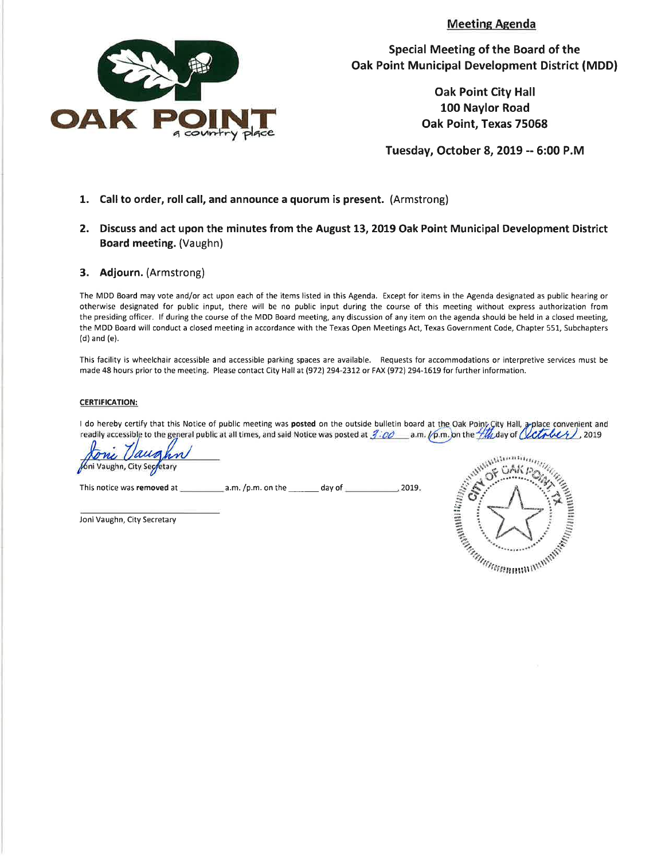**Meeting Agenda** 



Special Meeting of the Board of the **Oak Point Municipal Development District (MDD)** 

> **Oak Point City Hall** 100 Naylor Road Oak Point, Texas 75068

Tuesday, October 8, 2019 -- 6:00 P.M

- 1. Call to order, roll call, and announce a quorum is present. (Armstrong)
- 2. Discuss and act upon the minutes from the August 13, 2019 Oak Point Municipal Development District Board meeting. (Vaughn)
- 3. Adjourn. (Armstrong)

The MDD Board may vote and/or act upon each of the items listed in this Agenda. Except for items in the Agenda designated as public hearing or otherwise designated for public input, there will be no public input during the course of this meeting without express authorization from the presiding officer. If during the course of the MDD Board meeting, any discussion of any item on the agenda should be held in a closed meeting, the MDD Board will conduct a closed meeting in accordance with the Texas Open Meetings Act, Texas Government Code, Chapter 551, Subchapters (d) and (e).

This facility is wheelchair accessible and accessible parking spaces are available. Requests for accommodations or interpretive services must be made 48 hours prior to the meeting. Please contact City Hall at (972) 294-2312 or FAX (972) 294-1619 for further information.

#### **CERTIFICATION:**

I do hereby certify that this Notice of public meeting was posted on the outside bulletin board at the Oak Point Gity Hall, a place convenient and readily accessible to the general public at all times, and said Notice was posted at  $j$ :00 \_\_ a.m.  $\sqrt{p}$ m. on the  $\#M$  day of (LCL, LLL), 2019

 $, 2019.$ 

**óni Vaughn, City Segg** 

Joni Vaughn, City Secretary